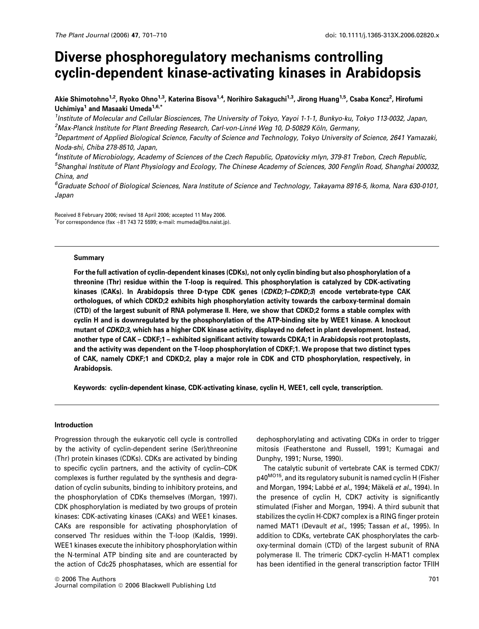# Diverse phosphoregulatory mechanisms controlling cyclin-dependent kinase-activating kinases in Arabidopsis

Akie Shimotohno<sup>1,2</sup>, Ryoko Ohno<sup>1,3</sup>, Katerina Bisova<sup>1,4</sup>, Norihiro Sakaguchi<sup>1,3</sup>, Jirong Huang<sup>1,5</sup>, Csaba Koncz<sup>2</sup>, Hirofumi Uchimiya<sup>1</sup> and Masaaki Umeda<sup>1,6,\*</sup>

<sup>1</sup>Institute of Molecular and Cellular Biosciences, The University of Tokyo, Yayoi 1-1-1, Bunkyo-ku, Tokyo 113-0032, Japan,  $^2$ Max-Planck Institute for Plant Breeding Research, Carl-von-Linné Weg 10, D-50829 Köln, Germany,

3 Department of Applied Biological Science, Faculty of Science and Technology, Tokyo University of Science, 2641 Yamazaki, Noda-shi, Chiba 278-8510, Japan,

4 Institute of Microbiology, Academy of Sciences of the Czech Republic, Opatovicky mlyn, 379-81 Trebon, Czech Republic, <sup>5</sup>Shanghai Institute of Plant Physiology and Ecology, The Chinese Academy of Sciences, 300 Fenglin Road, Shanghai 200032, China, and

6 Graduate School of Biological Sciences, Nara Institute of Science and Technology, Takayama 8916-5, Ikoma, Nara 630-0101, Japan

Received 8 February 2006; revised 18 April 2006; accepted 11 May 2006.  $\displaystyle{\raisebox{0.6ex}{\scriptsize{*}}}$ For correspondence (fax  $+$ 81 743 72 5599; e-mail: mumeda@bs.naist.jp).

#### Summary

For the full activation of cyclin-dependent kinases (CDKs), not only cyclin binding but also phosphorylation of a threonine (Thr) residue within the T-loop is required. This phosphorylation is catalyzed by CDK-activating kinases (CAKs). In Arabidopsis three D-type CDK genes (CDKD;1-CDKD;3) encode vertebrate-type CAK orthologues, of which CDKD;2 exhibits high phosphorylation activity towards the carboxy-terminal domain (CTD) of the largest subunit of RNA polymerase II. Here, we show that CDKD;2 forms a stable complex with cyclin H and is downregulated by the phosphorylation of the ATP-binding site by WEE1 kinase. A knockout mutant of CDKD;3, which has a higher CDK kinase activity, displayed no defect in plant development. Instead, another type of CAK – CDKF;1 – exhibited significant activity towards CDKA;1 in Arabidopsis root protoplasts, and the activity was dependent on the T-loop phosphorylation of CDKF;1. We propose that two distinct types of CAK, namely CDKF;1 and CDKD;2, play a major role in CDK and CTD phosphorylation, respectively, in Arabidopsis.

Keywords: cyclin-dependent kinase, CDK-activating kinase, cyclin H, WEE1, cell cycle, transcription.

#### Introduction

Progression through the eukaryotic cell cycle is controlled by the activity of cyclin-dependent serine (Ser)/threonine (Thr) protein kinases (CDKs). CDKs are activated by binding to specific cyclin partners, and the activity of cyclin–CDK complexes is further regulated by the synthesis and degradation of cyclin subunits, binding to inhibitory proteins, and the phosphorylation of CDKs themselves (Morgan, 1997). CDK phosphorylation is mediated by two groups of protein kinases: CDK-activating kinases (CAKs) and WEE1 kinases. CAKs are responsible for activating phosphorylation of conserved Thr residues within the T-loop (Kaldis, 1999). WEE1 kinases execute the inhibitory phosphorylation within the N-terminal ATP binding site and are counteracted by the action of Cdc25 phosphatases, which are essential for dephosphorylating and activating CDKs in order to trigger mitosis (Featherstone and Russell, 1991; Kumagai and Dunphy, 1991; Nurse, 1990).

The catalytic subunit of vertebrate CAK is termed CDK7/ p40<sup>MO15</sup>, and its regulatory subunit is named cyclin H (Fisher and Morgan, 1994; Labbé et al., 1994; Mäkelä et al., 1994). In the presence of cyclin H, CDK7 activity is significantly stimulated (Fisher and Morgan, 1994). A third subunit that stabilizes the cyclin H-CDK7 complex is a RING finger protein named MAT1 (Devault et al., 1995; Tassan et al., 1995). In addition to CDKs, vertebrate CAK phosphorylates the carboxy-terminal domain (CTD) of the largest subunit of RNA polymerase II. The trimeric CDK7-cyclin H-MAT1 complex has been identified in the general transcription factor TFIIH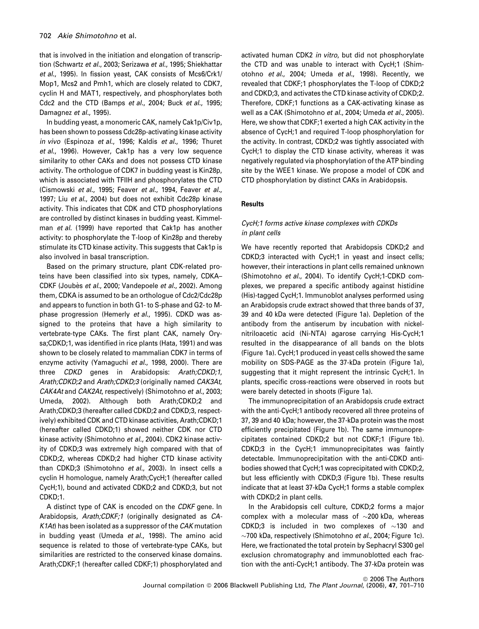that is involved in the initiation and elongation of transcription (Schwartz et al., 2003; Serizawa et al., 1995; Shiekhattar et al., 1995). In fission yeast, CAK consists of Mcs6/Crk1/ Mop1, Mcs2 and Pmh1, which are closely related to CDK7, cyclin H and MAT1, respectively, and phosphorylates both Cdc2 and the CTD (Bamps et al., 2004; Buck et al., 1995; Damagnez et al., 1995).

In budding yeast, a monomeric CAK, namely Cak1p/Civ1p, has been shown to possess Cdc28p-activating kinase activity in vivo (Espinoza et al., 1996; Kaldis et al., 1996; Thuret et al., 1996). However, Cak1p has a very low sequence similarity to other CAKs and does not possess CTD kinase activity. The orthologue of CDK7 in budding yeast is Kin28p, which is associated with TFIIH and phosphorylates the CTD (Cismowski et al., 1995; Feaver et al., 1994, Feaver et al., 1997; Liu et al., 2004) but does not exhibit Cdc28p kinase activity. This indicates that CDK and CTD phosphorylations are controlled by distinct kinases in budding yeast. Kimmelman et al. (1999) have reported that Cak1p has another activity: to phosphorylate the T-loop of Kin28p and thereby stimulate its CTD kinase activity. This suggests that Cak1p is also involved in basal transcription.

Based on the primary structure, plant CDK-related proteins have been classified into six types, namely, CDKA– CDKF (Joubès et al., 2000; Vandepoele et al., 2002). Among them, CDKA is assumed to be an orthologue of Cdc2/Cdc28p and appears to function in both G1- to S-phase and G2- to Mphase progression (Hemerly et al., 1995). CDKD was assigned to the proteins that have a high similarity to vertebrate-type CAKs. The first plant CAK, namely Orysa;CDKD;1, was identified in rice plants (Hata, 1991) and was shown to be closely related to mammalian CDK7 in terms of enzyme activity (Yamaguchi et al., 1998, 2000). There are three CDKD genes in Arabidopsis: Arath;CDKD;1, Arath;CDKD;2 and Arath;CDKD;3 (originally named CAK3At, CAK4At and CAK2At, respectively) (Shimotohno et al., 2003; Umeda, 2002). Although both Arath;CDKD;2 and Arath;CDKD;3 (hereafter called CDKD;2 and CDKD;3, respectively) exhibited CDK and CTD kinase activities, Arath;CDKD;1 (hereafter called CDKD;1) showed neither CDK nor CTD kinase activity (Shimotohno et al., 2004). CDK2 kinase activity of CDKD;3 was extremely high compared with that of CDKD;2, whereas CDKD;2 had higher CTD kinase activity than CDKD;3 (Shimotohno et al., 2003). In insect cells a cyclin H homologue, namely Arath;CycH;1 (hereafter called CycH;1), bound and activated CDKD;2 and CDKD;3, but not CDKD;1.

A distinct type of CAK is encoded on the CDKF gene. In Arabidopsis, Arath;CDKF;1 (originally designated as CA-K1At) has been isolated as a suppressor of the CAK mutation in budding yeast (Umeda et al., 1998). The amino acid sequence is related to those of vertebrate-type CAKs, but similarities are restricted to the conserved kinase domains. Arath;CDKF;1 (hereafter called CDKF;1) phosphorylated and

activated human CDK2 in vitro, but did not phosphorylate the CTD and was unable to interact with CycH;1 (Shimotohno et al., 2004; Umeda et al., 1998). Recently, we revealed that CDKF;1 phosphorylates the T-loop of CDKD;2 and CDKD;3, and activates the CTD kinase activity of CDKD;2. Therefore, CDKF;1 functions as a CAK-activating kinase as well as a CAK (Shimotohno et al., 2004; Umeda et al., 2005). Here, we show that CDKF;1 exerted a high CAK activity in the absence of CycH;1 and required T-loop phosphorylation for the activity. In contrast, CDKD;2 was tightly associated with CycH;1 to display the CTD kinase activity, whereas it was negatively regulated via phosphorylation of the ATP binding site by the WEE1 kinase. We propose a model of CDK and CTD phosphorylation by distinct CAKs in Arabidopsis.

# **Results**

# CycH;1 forms active kinase complexes with CDKDs in plant cells

We have recently reported that Arabidopsis CDKD;2 and CDKD;3 interacted with CycH;1 in yeast and insect cells; however, their interactions in plant cells remained unknown (Shimotohno et al., 2004). To identify CycH;1-CDKD complexes, we prepared a specific antibody against histidine (His)-tagged CycH;1. Immunoblot analyses performed using an Arabidopsis crude extract showed that three bands of 37, 39 and 40 kDa were detected (Figure 1a). Depletion of the antibody from the antiserum by incubation with nickelnitriloacetic acid (Ni-NTA) agarose carrying His-CycH;1 resulted in the disappearance of all bands on the blots (Figure 1a). CycH;1 produced in yeast cells showed the same mobility on SDS-PAGE as the 37-kDa protein (Figure 1a), suggesting that it might represent the intrinsic CycH;1. In plants, specific cross-reactions were observed in roots but were barely detected in shoots (Figure 1a).

The immunoprecipitation of an Arabidopsis crude extract with the anti-CycH;1 antibody recovered all three proteins of 37, 39 and 40 kDa; however, the 37-kDa protein was the most efficiently precipitated (Figure 1b). The same immunoprecipitates contained CDKD;2 but not CDKF;1 (Figure 1b). CDKD;3 in the CycH;1 immunoprecipitates was faintly detectable. Immunoprecipitation with the anti-CDKD antibodies showed that CycH;1 was coprecipitated with CDKD;2, but less efficiently with CDKD;3 (Figure 1b). These results indicate that at least 37-kDa CycH;1 forms a stable complex with CDKD;2 in plant cells.

In the Arabidopsis cell culture, CDKD;2 forms a major complex with a molecular mass of  $\sim$ 200 kDa, whereas CDKD;3 is included in two complexes of  $\sim$ 130 and  $\sim$ 700 kDa, respectively (Shimotohno *et al.*, 2004; Figure 1c). Here, we fractionated the total protein by Sephacryl S300 gel exclusion chromatography and immunoblotted each fraction with the anti-CycH;1 antibody. The 37-kDa protein was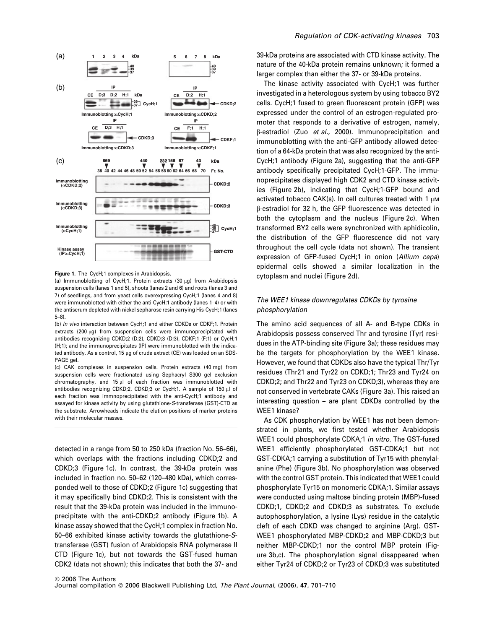

Figure 1. The CycH;1 complexes in Arabidopsis.

(a) Immunoblotting of CycH;1. Protein extracts (30  $\mu$ g) from Arabidopsis suspension cells (lanes 1 and 5), shoots (lanes 2 and 6) and roots (lanes 3 and 7) of seedlings, and from yeast cells overexpressing CycH;1 (lanes 4 and 8) were immunoblotted with either the anti-CycH;1 antibody (lanes 1–4) or with the antiserum depleted with nickel sepharose resin carrying His-CycH;1 (lanes 5–8).

(b) In vivo interaction between CycH;1 and either CDKDs or CDKF;1. Protein extracts (200  $\mu$ g) from suspension cells were immunoprecipitated with antibodies recognizing CDKD;2 (D;2), CDKD;3 (D;3), CDKF;1 (F;1) or CycH;1 (H;1); and the immunoprecipitates (IP) were immunoblotted with the indicated antibody. As a control, 15 µg of crude extract (CE) was loaded on an SDS-PAGE gel.

(c) CAK complexes in suspension cells. Protein extracts (40 mg) from suspension cells were fractionated using Sephacryl S300 gel exclusion chromatography, and  $15 \mu l$  of each fraction was immunoblotted with antibodies recognizing CDKD;2, CDKD;3 or CycH;1. A sample of 150 µl of each fraction was immnoprecipitated with the anti-CycH;1 antibody and assayed for kinase activity by using glutathione-S-transferase (GST)-CTD as the substrate. Arrowheads indicate the elution positions of marker proteins with their molecular masses.

detected in a range from 50 to 250 kDa (fraction No. 56–66), which overlaps with the fractions including CDKD;2 and CDKD;3 (Figure 1c). In contrast, the 39-kDa protein was included in fraction no. 50–62 (120–480 kDa), which corresponded well to those of CDKD;2 (Figure 1c) suggesting that it may specifically bind CDKD;2. This is consistent with the result that the 39-kDa protein was included in the immunoprecipitate with the anti-CDKD;2 antibody (Figure 1b). A kinase assay showed that the CycH;1 complex in fraction No. 50–66 exhibited kinase activity towards the glutathione-Stransferase (GST) fusion of Arabidopsis RNA polymerase II CTD (Figure 1c), but not towards the GST-fused human CDK2 (data not shown); this indicates that both the 37- and

#### Regulation of CDK-activating kinases 703

39-kDa proteins are associated with CTD kinase activity. The nature of the 40-kDa protein remains unknown; it formed a larger complex than either the 37- or 39-kDa proteins.

The kinase activity associated with CycH;1 was further investigated in a heterologous system by using tobacco BY2 cells. CycH;1 fused to green fluorescent protein (GFP) was expressed under the control of an estrogen-regulated promoter that responds to a derivative of estrogen, namely, B-estradiol (Zuo et al., 2000). Immunoprecipitation and immunoblotting with the anti-GFP antibody allowed detection of a 64-kDa protein that was also recognized by the anti-CycH;1 antibody (Figure 2a), suggesting that the anti-GFP antibody specifically precipitated CycH;1-GFP. The immunoprecipitates displayed high CDK2 and CTD kinase activities (Figure 2b), indicating that CycH;1-GFP bound and activated tobacco  $CAK(s)$ . In cell cultures treated with 1  $µM$ b-estradiol for 32 h, the GFP fluorescence was detected in both the cytoplasm and the nucleus (Figure 2c). When transformed BY2 cells were synchronized with aphidicolin, the distribution of the GFP fluorescence did not vary throughout the cell cycle (data not shown). The transient expression of GFP-fused CycH;1 in onion (Allium cepa) epidermal cells showed a similar localization in the cytoplasm and nuclei (Figure 2d).

# The WEE1 kinase downregulates CDKDs by tyrosine phosphorylation

The amino acid sequences of all A- and B-type CDKs in Arabidopsis possess conserved Thr and tyrosine (Tyr) residues in the ATP-binding site (Figure 3a); these residues may be the targets for phosphorylation by the WEE1 kinase. However, we found that CDKDs also have the typical Thr/Tyr residues (Thr21 and Tyr22 on CDKD;1; Thr23 and Tyr24 on CDKD;2; and Thr22 and Tyr23 on CDKD;3), whereas they are not conserved in vertebrate CAKs (Figure 3a). This raised an interesting question – are plant CDKDs controlled by the WEE1 kinase?

As CDK phosphorylation by WEE1 has not been demonstrated in plants, we first tested whether Arabidopsis WEE1 could phosphorylate CDKA;1 in vitro. The GST-fused WEE1 efficiently phosphorylated GST-CDKA;1 but not GST-CDKA;1 carrying a substitution of Tyr15 with phenylalanine (Phe) (Figure 3b). No phosphorylation was observed with the control GST protein. This indicated that WEE1 could phosphorylate Tyr15 on monomeric CDKA;1. Similar assays were conducted using maltose binding protein (MBP)-fused CDKD;1, CDKD;2 and CDKD;3 as substrates. To exclude autophosphorylation, a lysine (Lys) residue in the catalytic cleft of each CDKD was changed to arginine (Arg). GST-WEE1 phosphorylated MBP-CDKD;2 and MBP-CDKD;3 but neither MBP-CDKD;1 nor the control MBP protein (Figure 3b,c). The phosphorylation signal disappeared when either Tyr24 of CDKD;2 or Tyr23 of CDKD;3 was substituted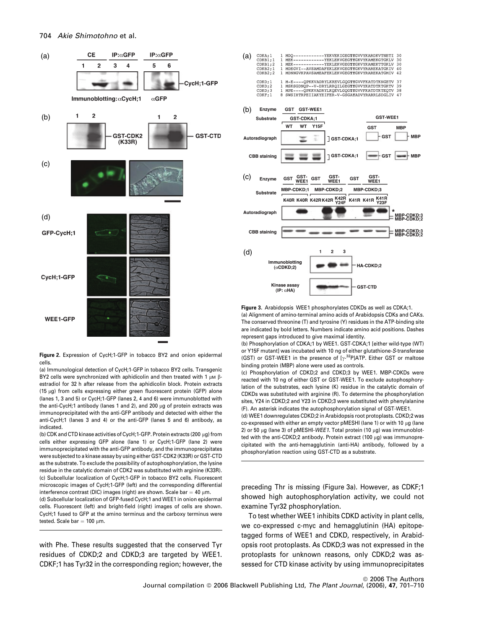

Figure 2. Expression of CycH;1-GFP in tobacco BY2 and onion epidermal cells.

(a) Immunological detection of CycH;1-GFP in tobacco BY2 cells. Transgenic BY2 cells were synchronized with aphidicolin and then treated with 1  $\mu$ M  $\beta$ estradiol for 32 h after release from the aphidicolin block. Protein extracts (15  $\mu$ g) from cells expressing either green fluorescent protein (GFP) alone (lanes 1, 3 and 5) or CycH;1-GFP (lanes 2, 4 and 6) were immunoblotted with the anti-CycH;1 antibody (lanes 1 and 2), and 200  $\mu$ g of protein extracts was immunoprecipitated with the anti-GFP antibody and detected with either the anti-CycH;1 (lanes 3 and 4) or the anti-GFP (lanes 5 and 6) antibody, as indicated.

(b) CDK and CTD kinase activities of CycH;1-GFP. Protein extracts (200  $\mu$ g) from cells either expressing GFP alone (lane 1) or CycH;1-GFP (lane 2) were immunoprecipitated with the anti-GFP antibody, and the immunoprecipitates were subjected to a kinase assay by using either GST-CDK2 (K33R) or GST-CTD as the substrate. To exclude the possibility of autophosphorylation, the lysine residue in the catalytic domain of CDK2 was substituted with arginine (K33R). (c) Subcellular localization of CycH;1-GFP in tobacco BY2 cells. Fluorescent microscopic images of CycH;1-GFP (left) and the corresponding differential interference contrast (DIC) images (right) are shown. Scale bar = 40  $\mu$ m.

(d) Subcellular localization of GFP-fused CycH;1 and WEE1 in onion epidermal cells. Fluorescent (left) and bright-field (right) images of cells are shown. CycH;1 fused to GFP at the amino terminus and the carboxy terminus were tested. Scale bar  $= 100 \mu m$ .

with Phe. These results suggested that the conserved Tyr residues of CDKD;2 and CDKD;3 are targeted by WEE1. CDKF;1 has Tyr32 in the corresponding region; however, the



Figure 3. Arabidopsis WEE1 phosphorylates CDKDs as well as CDKA;1. (a) Alignment of amino-terminal amino acids of Arabidopsis CDKs and CAKs. The conserved threonine (T) and tyrosine (Y) residues in the ATP-binding site are indicated by bold letters. Numbers indicate amino acid positions. Dashes represent gaps introduced to give maximal identity.

(b) Phosphorylation of CDKA;1 by WEE1. GST-CDKA;1 [either wild-type (WT) or Y15F mutant] was incubated with 10 ng of either glutathione-S-transferase (GST) or GST-WEE1 in the presence of  $[\gamma^{-32}P]$ ATP. Either GST or maltose binding protein (MBP) alone were used as controls.

(c) Phosphorylation of CDKD;2 and CDKD;3 by WEE1. MBP-CDKDs were reacted with 10 ng of either GST or GST-WEE1. To exclude autophosphorylation of the substrates, each lysine (K) residue in the catalytic domain of CDKDs was substituted with arginine (R). To determine the phosphorylation sites, Y24 in CDKD;2 and Y23 in CDKD;3 were substituted with phenylalanine (F). An asterisk indicates the autophosphorylation signal of GST-WEE1.

(d) WEE1 downregulates CDKD;2 in Arabidopsis root protoplasts. CDKD;2 was co-expressed with either an empty vector pMESHI (lane 1) or with 10 µg (lane 2) or 50  $\mu$ g (lane 3) of pMESHI-WEE1. Total protein (10  $\mu$ g) was immunoblotted with the anti-CDKD;2 antibody. Protein extract (100  $\mu$ g) was immunoprecipitated with the anti-hemagglutinin (anti-HA) antibody, followed by a phosphorylation reaction using GST-CTD as a substrate.

preceding Thr is missing (Figure 3a). However, as CDKF;1 showed high autophosphorylation activity, we could not examine Tyr32 phosphorylation.

To test whether WEE1 inhibits CDKD activity in plant cells, we co-expressed c-myc and hemagglutinin (HA) epitopetagged forms of WEE1 and CDKD, respectively, in Arabidopsis root protoplasts. As CDKD;3 was not expressed in the protoplasts for unknown reasons, only CDKD;2 was assessed for CTD kinase activity by using immunoprecipitates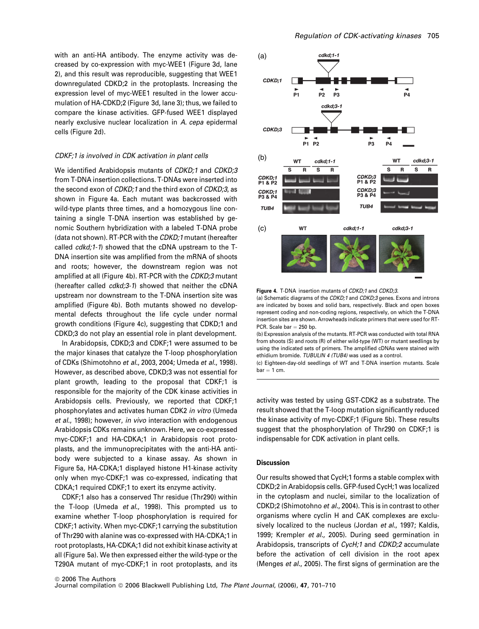with an anti-HA antibody. The enzyme activity was decreased by co-expression with myc-WEE1 (Figure 3d, lane 2), and this result was reproducible, suggesting that WEE1 downregulated CDKD;2 in the protoplasts. Increasing the expression level of myc-WEE1 resulted in the lower accumulation of HA-CDKD;2 (Figure 3d, lane 3); thus, we failed to compare the kinase activities. GFP-fused WEE1 displayed nearly exclusive nuclear localization in A. cepa epidermal cells (Figure 2d).

#### CDKF;1 is involved in CDK activation in plant cells

We identified Arabidopsis mutants of CDKD;1 and CDKD;3 from T-DNA insertion collections. T-DNAs were inserted into the second exon of CDKD;1 and the third exon of CDKD;3, as shown in Figure 4a. Each mutant was backcrossed with wild-type plants three times, and a homozygous line containing a single T-DNA insertion was established by genomic Southern hybridization with a labeled T-DNA probe (data not shown). RT-PCR with the CDKD;1 mutant (hereafter called cdkd;1-1) showed that the cDNA upstream to the T-DNA insertion site was amplified from the mRNA of shoots and roots; however, the downstream region was not amplified at all (Figure 4b). RT-PCR with the CDKD;3 mutant (hereafter called cdkd;3-1) showed that neither the cDNA upstream nor downstream to the T-DNA insertion site was amplified (Figure 4b). Both mutants showed no developmental defects throughout the life cycle under normal growth conditions (Figure 4c), suggesting that CDKD;1 and CDKD;3 do not play an essential role in plant development.

In Arabidopsis, CDKD;3 and CDKF;1 were assumed to be the major kinases that catalyze the T-loop phosphorylation of CDKs (Shimotohno et al., 2003, 2004; Umeda et al., 1998). However, as described above, CDKD;3 was not essential for plant growth, leading to the proposal that CDKF;1 is responsible for the majority of the CDK kinase activities in Arabidopsis cells. Previously, we reported that CDKF;1 phosphorylates and activates human CDK2 in vitro (Umeda et al., 1998); however, in vivo interaction with endogenous Arabidopsis CDKs remains unknown. Here, we co-expressed myc-CDKF;1 and HA-CDKA;1 in Arabidopsis root protoplasts, and the immunoprecipitates with the anti-HA antibody were subjected to a kinase assay. As shown in Figure 5a, HA-CDKA;1 displayed histone H1-kinase activity only when myc-CDKF;1 was co-expressed, indicating that CDKA;1 required CDKF;1 to exert its enzyme activity.

CDKF;1 also has a conserved Thr residue (Thr290) within the T-loop (Umeda et al., 1998). This prompted us to examine whether T-loop phosphorylation is required for CDKF;1 activity. When myc-CDKF;1 carrying the substitution of Thr290 with alanine was co-expressed with HA-CDKA;1 in root protoplasts, HA-CDKA;1 did not exhibit kinase activity at all (Figure 5a). We then expressed either the wild-type or the T290A mutant of myc-CDKF;1 in root protoplasts, and its



Figure 4. T-DNA insertion mutants of CDKD;1 and CDKD;3.

(a) Schematic diagrams of the CDKD;1 and CDKD;3 genes. Exons and introns are indicated by boxes and solid bars, respectively. Black and open boxes represent coding and non-coding regions, respectively, on which the T-DNA insertion sites are shown. Arrowheads indicate primers that were used for RT-PCR. Scale bar  $= 250$  bp.

(b) Expression analysis of the mutants. RT-PCR was conducted with total RNA from shoots (S) and roots (R) of either wild-type (WT) or mutant seedlings by using the indicated sets of primers. The amplified cDNAs were stained with ethidium bromide. TUBULIN 4 (TUB4) was used as a control.

(c) Eighteen-day-old seedlings of WT and T-DNA insertion mutants. Scale  $bar = 1 cm$ .

activity was tested by using GST-CDK2 as a substrate. The result showed that the T-loop mutation significantly reduced the kinase activity of myc-CDKF;1 (Figure 5b). These results suggest that the phosphorylation of Thr290 on CDKF;1 is indispensable for CDK activation in plant cells.

## Discussion

Our results showed that CycH;1 forms a stable complex with CDKD;2 in Arabidopsis cells. GFP-fused CycH;1 was localized in the cytoplasm and nuclei, similar to the localization of CDKD;2 (Shimotohno et al., 2004). This is in contrast to other organisms where cyclin H and CAK complexes are exclusively localized to the nucleus (Jordan et al., 1997; Kaldis, 1999; Krempler et al., 2005). During seed germination in Arabidopsis, transcripts of CycH;1 and CDKD;2 accumulate before the activation of cell division in the root apex (Menges et al., 2005). The first signs of germination are the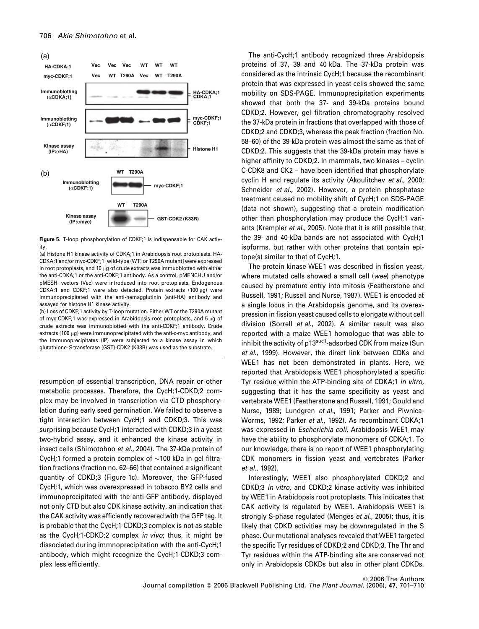

Figure 5. T-loop phosphorylation of CDKF;1 is indispensable for CAK activity.

(a) Histone H1 kinase activity of CDKA;1 in Arabidopsis root protoplasts. HA-CDKA;1 and/or myc-CDKF;1 [wild-type (WT) or T290A mutant] were expressed in root protoplasts, and 10  $\mu$ g of crude extracts was immuoblotted with either the anti-CDKA;1 or the anti-CDKF;1 antibody. As a control, pMENCHU and/or pMESHI vectors (Vec) were introduced into root protoplasts. Endogenous CDKA:1 and CDKF:1 were also detected. Protein extracts (100 ug) were immunoprecipitated with the anti-hemagglutinin (anti-HA) antibody and assayed for histone H1 kinase activity.

(b) Loss of CDKF;1 activity by T-loop mutation. Either WT or the T290A mutant of myc-CDKF;1 was expressed in Arabidopsis root protoplasts, and 5 µg of crude extracts was immunoblotted with the anti-CDKF;1 antibody. Crude extracts (100 µg) were immunoprecipitated with the anti-c-myc antibody, and the immunoprecipitates (IP) were subjected to a kinase assay in which glutathione-S-transferase (GST)-CDK2 (K33R) was used as the substrate.

resumption of essential transcription, DNA repair or other metabolic processes. Therefore, the CycH;1-CDKD;2 complex may be involved in transcription via CTD phosphorylation during early seed germination. We failed to observe a tight interaction between CycH;1 and CDKD;3. This was surprising because CycH;1 interacted with CDKD;3 in a yeast two-hybrid assay, and it enhanced the kinase activity in insect cells (Shimotohno et al., 2004). The 37-kDa protein of CycH;1 formed a protein complex of  $\sim$ 100 kDa in gel filtration fractions (fraction no. 62–66) that contained a significant quantity of CDKD;3 (Figure 1c). Moreover, the GFP-fused CycH;1, which was overexpressed in tobacco BY2 cells and immunoprecipitated with the anti-GFP antibody, displayed not only CTD but also CDK kinase activity, an indication that the CAK activity was efficiently recovered with the GFP tag. It is probable that the CycH;1-CDKD;3 complex is not as stable as the CycH;1-CDKD;2 complex in vivo; thus, it might be dissociated during immnoprecipitation with the anti-CycH;1 antibody, which might recognize the CycH;1-CDKD;3 complex less efficiently.

The anti-CycH;1 antibody recognized three Arabidopsis proteins of 37, 39 and 40 kDa. The 37-kDa protein was considered as the intrinsic CycH;1 because the recombinant protein that was expressed in yeast cells showed the same mobility on SDS-PAGE. Immunoprecipitation experiments showed that both the 37- and 39-kDa proteins bound CDKD;2. However, gel filtration chromatography resolved the 37-kDa protein in fractions that overlapped with those of CDKD;2 and CDKD;3, whereas the peak fraction (fraction No. 58–60) of the 39-kDa protein was almost the same as that of CDKD;2. This suggests that the 39-kDa protein may have a higher affinity to CDKD;2. In mammals, two kinases – cyclin C-CDK8 and CK2 – have been identified that phosphorylate cyclin H and regulate its activity (Akoulitchev et al., 2000; Schneider et al., 2002). However, a protein phosphatase treatment caused no mobility shift of CycH;1 on SDS-PAGE (data not shown), suggesting that a protein modification other than phosphorylation may produce the CycH;1 variants (Krempler et al., 2005). Note that it is still possible that the 39- and 40-kDa bands are not associated with CycH;1 isoforms, but rather with other proteins that contain epitope(s) similar to that of CycH;1.

The protein kinase WEE1 was described in fission yeast, where mutated cells showed a small cell (wee) phenotype caused by premature entry into mitosis (Featherstone and Russell, 1991; Russell and Nurse, 1987). WEE1 is encoded at a single locus in the Arabidopsis genome, and its overexpression in fission yeast caused cells to elongate without cell division (Sorrell et al., 2002). A similar result was also reported with a maize WEE1 homologue that was able to inhibit the activity of p13<sup>suc1</sup>-adsorbed CDK from maize (Sun et al., 1999). However, the direct link between CDKs and WEE1 has not been demonstrated in plants. Here, we reported that Arabidopsis WEE1 phosphorylated a specific Tyr residue within the ATP-binding site of CDKA;1 in vitro, suggesting that it has the same specificity as yeast and vertebrate WEE1 (Featherstone and Russell, 1991; Gould and Nurse, 1989; Lundgren et al., 1991; Parker and Piwnica-Worms, 1992; Parker et al., 1992). As recombinant CDKA;1 was expressed in *Escherichia coli*, Arabidopsis WEE1 may have the ability to phosphorylate monomers of CDKA;1. To our knowledge, there is no report of WEE1 phosphorylating CDK monomers in fission yeast and vertebrates (Parker et al., 1992).

Interestingly, WEE1 also phosphorylated CDKD;2 and CDKD;3 in vitro, and CDKD;2 kinase activity was inhibited by WEE1 in Arabidopsis root protoplasts. This indicates that CAK activity is regulated by WEE1. Arabidopsis WEE1 is strongly S-phase regulated (Menges et al., 2005); thus, it is likely that CDKD activities may be downregulated in the S phase. Our mutational analyses revealed that WEE1 targeted the specific Tyr residues of CDKD;2 and CDKD;3. The Thr and Tyr residues within the ATP-binding site are conserved not only in Arabidopsis CDKDs but also in other plant CDKDs.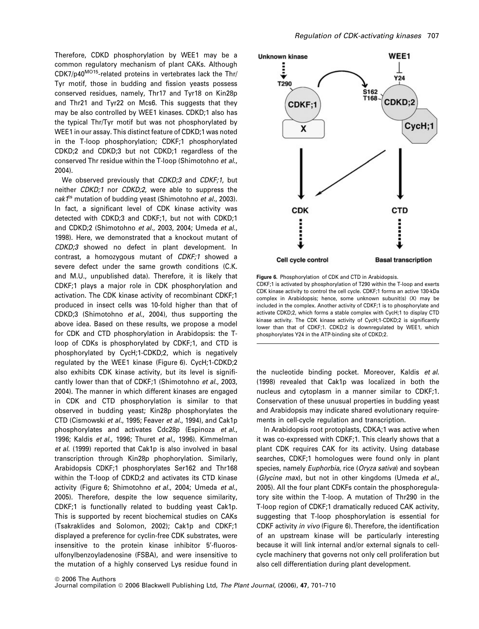Therefore, CDKD phosphorylation by WEE1 may be a common regulatory mechanism of plant CAKs. Although CDK7/p40MO15-related proteins in vertebrates lack the Thr/ Tyr motif, those in budding and fission yeasts possess conserved residues, namely, Thr17 and Tyr18 on Kin28p and Thr21 and Tyr22 on Mcs6. This suggests that they may be also controlled by WEE1 kinases. CDKD;1 also has the typical Thr/Tyr motif but was not phosphorylated by WEE1 in our assay. This distinct feature of CDKD;1 was noted in the T-loop phosphorylation; CDKF;1 phosphorylated CDKD;2 and CDKD;3 but not CDKD;1 regardless of the conserved Thr residue within the T-loop (Shimotohno et al., 2004).

We observed previously that CDKD;3 and CDKF;1, but neither CDKD;1 nor CDKD;2, were able to suppress the  $c$ ak1<sup>ts</sup> mutation of budding yeast (Shimotohno *et al.,* 2003). In fact, a significant level of CDK kinase activity was detected with CDKD;3 and CDKF;1, but not with CDKD;1 and CDKD;2 (Shimotohno et al., 2003, 2004; Umeda et al., 1998). Here, we demonstrated that a knockout mutant of CDKD;3 showed no defect in plant development. In contrast, a homozygous mutant of CDKF;1 showed a severe defect under the same growth conditions (C.K. and M.U., unpublished data). Therefore, it is likely that CDKF;1 plays a major role in CDK phosphorylation and activation. The CDK kinase activity of recombinant CDKF;1 produced in insect cells was 10-fold higher than that of CDKD;3 (Shimotohno et al., 2004), thus supporting the above idea. Based on these results, we propose a model for CDK and CTD phosphorylation in Arabidopsis: the Tloop of CDKs is phosphorylated by CDKF;1, and CTD is phosphorylated by CycH;1-CDKD;2, which is negatively regulated by the WEE1 kinase (Figure 6). CycH;1-CDKD;2 also exhibits CDK kinase activity, but its level is significantly lower than that of CDKF;1 (Shimotohno et al., 2003, 2004). The manner in which different kinases are engaged in CDK and CTD phosphorylation is similar to that observed in budding yeast; Kin28p phosphorylates the CTD (Cismowski et al., 1995; Feaver et al., 1994), and Cak1p phosphorylates and activates Cdc28p (Espinoza et al., 1996; Kaldis et al., 1996; Thuret et al., 1996). Kimmelman et al. (1999) reported that Cak1p is also involved in basal transcription through Kin28p phophorylation. Similarly, Arabidopsis CDKF;1 phosphorylates Ser162 and Thr168 within the T-loop of CDKD;2 and activates its CTD kinase activity (Figure 6; Shimotohno et al., 2004; Umeda et al., 2005). Therefore, despite the low sequence similarity, CDKF;1 is functionally related to budding yeast Cak1p. This is supported by recent biochemical studies on CAKs (Tsakraklides and Solomon, 2002); Cak1p and CDKF;1 displayed a preference for cyclin-free CDK substrates, were insensitive to the protein kinase inhibitor 5'-fluorosulfonylbenzoyladenosine (FSBA), and were insensitive to the mutation of a highly conserved Lys residue found in



Figure 6. Phosphorylation of CDK and CTD in Arabidopsis. CDKF;1 is activated by phosphorylation of T290 within the T-loop and exerts CDK kinase activity to control the cell cycle. CDKF;1 forms an active 130-kDa complex in Arabidopsis; hence, some unknown subunit(s) (X) may be included in the complex. Another activity of CDKF;1 is to phosphorylate and activate CDKD;2, which forms a stable complex with CycH;1 to display CTD kinase activity. The CDK kinase activity of CycH;1-CDKD;2 is significantly lower than that of CDKF;1. CDKD;2 is downregulated by WEE1, which phosphorylates Y24 in the ATP-binding site of CDKD;2.

the nucleotide binding pocket. Moreover, Kaldis et al. (1998) revealed that Cak1p was localized in both the nucleus and cytoplasm in a manner similar to CDKF;1. Conservation of these unusual properties in budding yeast and Arabidopsis may indicate shared evolutionary requirements in cell-cycle regulation and transcription.

In Arabidopsis root protoplasts, CDKA;1 was active when it was co-expressed with CDKF;1. This clearly shows that a plant CDK requires CAK for its activity. Using database searches, CDKF;1 homologues were found only in plant species, namely Euphorbia, rice (Oryza sativa) and soybean (Glycine max), but not in other kingdoms (Umeda et al., 2005). All the four plant CDKFs contain the phosphoregulatory site within the T-loop. A mutation of Thr290 in the T-loop region of CDKF;1 dramatically reduced CAK activity, suggesting that T-loop phosphorylation is essential for CDKF activity in vivo (Figure 6). Therefore, the identification of an upstream kinase will be particularly interesting because it will link internal and/or external signals to cellcycle machinery that governs not only cell proliferation but also cell differentiation during plant development.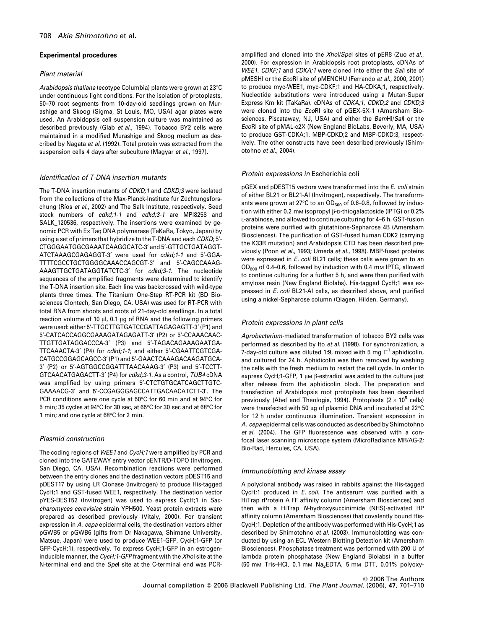#### Experimental procedures

## Plant material

Arabidopsis thaliana (ecotype Columbia) plants were grown at 23°C under continuous light conditions. For the isolation of protoplasts, 50–70 root segments from 10-day-old seedlings grown on Murashige and Skoog (Sigma, St Louis, MO, USA) agar plates were used. An Arabidopsis cell suspension culture was maintained as described previously (Glab et al., 1994). Tobacco BY2 cells were maintained in a modified Murashige and Skoog medium as described by Nagata et al. (1992). Total protein was extracted from the suspension cells 4 days after subculture (Magyar et al., 1997).

## Identification of T-DNA insertion mutants

The T-DNA insertion mutants of CDKD:1 and CDKD:3 were isolated from the collections of the Max-Planck-Institute für Züchtungsforschung (Ríos et al., 2002) and The Salk Institute, respectively. Seed stock numbers of cdkd;1-1 and cdkd;3-1 are MPI8258 and SALK\_120536, respectively. The insertions were examined by genomic PCR with Ex Taq DNA polymerase (TaKaRa, Tokyo, Japan) by using a set of primers that hybridize to the T-DNA and each CDKD; 5'-CTGGGAATGGCGAAATCAAGGCATC-3¢ and 5¢-GTTGCTGATAGGT-ATCTAAAGCGAGAGGT-3' were used for cdkd;1-1 and 5'-GGA-TTTTCGCCTGCTGGGGCAAACCAGCGT-3¢ and 5¢-CAGCCAAAG-AAAGTTGCTGATAGGTATCTC-3' for cdkd;3-1. The nucleotide sequences of the amplified fragments were determined to identify the T-DNA insertion site. Each line was backcrossed with wild-type plants three times. The Titanium One-Step RT-PCR kit (BD Biosciences Clontech, San Diego, CA, USA) was used for RT-PCR with total RNA from shoots and roots of 21-day-old seedlings. In a total reaction volume of 10  $\mu$ l, 0.1  $\mu$ g of RNA and the following primers were used: either 5'-TTGCTTGTGATCCGATTAGAGAGTT-3' (P1) and 5¢-CATCACCAGGCGAAAGATAGAGATT-3¢ (P2) or 5¢-CCAAACAAC-TTGTTGATAGGACCCA-3' (P3) and 5'-TAGACAGAAAGAATGA-TTCAAACTA-3' (P4) for cdkd;1-1; and either 5'-CGAATTCGTCGA-CATGCCGGAGCAGCC-3' (P1) and 5'-GAACTCAAAGACAAGATGCA-3¢ (P2) or 5¢-AGTGGCCGGATTTAACAAAG-3¢ (P3) and 5¢-TCCTT-GTCAACATGAGACTT-3¢ (P4) for cdkd;3-1. As a control, TUB4 cDNA was amplified by using primers 5'-CTCTGTGCATCAGCTTGTC-GAAAACG-3¢ and 5¢-CCGAGGGAGCCATTGACAACATCTT-3¢. The PCR conditions were one cycle at 50°C for 60 min and at 94°C for 5 min; 35 cycles at 94°C for 30 sec, at 65°C for 30 sec and at 68°C for 1 min; and one cycle at  $68^{\circ}$ C for 2 min.

# Plasmid construction

The coding regions of WEE1 and CycH;1 were amplified by PCR and cloned into the GATEWAY entry vector pENTR/D-TOPO (Invitrogen, San Diego, CA, USA). Recombination reactions were performed between the entry clones and the destination vectors pDEST15 and pDEST17 by using LR Clonase (Invitrogen) to produce His-tagged CycH;1 and GST-fused WEE1, respectively. The destination vector pYES-DEST52 (Invitrogen) was used to express CycH;1 in Saccharomyces cerevisiae strain YPH500. Yeast protein extracts were prepared as described previously (Vitaly, 2000). For transient expression in A. cepa epidermal cells, the destination vectors either pGWB5 or pGWB6 (gifts from Dr Nakagawa, Shimane University, Matsue, Japan) were used to produce WEE1-GFP, CycH;1-GFP (or GFP-CycH;1), respectively. To express CycH;1-GFP in an estrogeninducible manner, the CycH; 1-GFP fragment with the Xhol site at the N-terminal end and the Spel site at the C-terminal end was PCR-

amplified and cloned into the Xhol/Spel sites of pER8 (Zuo et al., 2000). For expression in Arabidopsis root protoplasts, cDNAs of WEE1, CDKF;1 and CDKA;1 were cloned into either the Sall site of pMESHI or the EcoRI site of pMENCHU (Ferrando et al., 2000, 2001) to produce myc-WEE1, myc-CDKF;1 and HA-CDKA;1, respectively. Nucleotide substitutions were introduced using a Mutan-Super Express Km kit (TaKaRa). cDNAs of CDKA;1, CDKD;2 and CDKD;3 were cloned into the EcoRI site of pGEX-5X-1 (Amersham Biosciences, Piscataway, NJ, USA) and either the BamHI/Sall or the EcoRI site of pMAL-c2X (New England BioLabs, Beverly, MA, USA) to produce GST-CDKA;1, MBP-CDKD;2 and MBP-CDKD;3, respectively. The other constructs have been described previously (Shimotohno et al., 2004).

## Protein expressions in Escherichia coli

pGEX and pDEST15 vectors were transformed into the E. coli strain of either BL21 or BL21-AI (Invitrogen), respectively. The transformants were grown at 27 $\degree$ C to an OD<sub>600</sub> of 0.6–0.8, followed by induction with either 0.2 mm isopropyl  $\beta$ -D-thiogalactoside (IPTG) or 0.2% L-arabinose, and allowed to continue culturing for 4–6 h. GST-fusion proteins were purified with glutathione-Sepharose 4B (Amersham Biosciences). The purification of GST-fused human CDK2 (carrying the K33R mutation) and Arabidopsis CTD has been described previously (Poon et al., 1993; Umeda et al., 1998). MBP-fused proteins were expressed in E. coli BL21 cells; these cells were grown to an  $OD_{600}$  of 0.4–0.6, followed by induction with 0.4 mm IPTG, allowed to continue culturing for a further 5 h, and were then purified with amylose resin (New England Biolabs). His-tagged CycH;1 was expressed in E. coli BL21-AI cells, as described above, and purified using a nickel-Sepharose column (Qiagen, Hilden, Germany).

# Protein expressions in plant cells

Agrobacterium-mediated transformation of tobacco BY2 cells was performed as described by Ito et al. (1998). For synchronization, a 7-day-old culture was diluted 1:9, mixed with 5 mg  $I^{-1}$  aphidicolin, and cultured for 24 h. Aphidicolin was then removed by washing the cells with the fresh medium to restart the cell cycle. In order to express CycH;1-GFP, 1  $\mu$ M  $\beta$ -estradiol was added to the culture just after release from the aphidicolin block. The preparation and transfection of Arabidopsis root protoplasts has been described previously (Abel and Theologis, 1994). Protoplasts ( $2 \times 10^5$  cells) were transfected with 50  $\mu$ g of plasmid DNA and incubated at 22 $^{\circ}$ C for 12 h under continuous illumination. Transient expression in A. cepa epidermal cells was conducted as described by Shimotohno et al. (2004). The GFP fluorescence was observed with a confocal laser scanning microscope system (MicroRadiance MR/AG-2; Bio-Rad, Hercules, CA, USA).

## Immunoblotting and kinase assay

A polyclonal antibody was raised in rabbits against the His-tagged CycH;1 produced in E. coli. The antiserum was purified with a HiTrap rProtein A FF affinity column (Amersham Biosciences) and then with a HiTrap N-hydroxysuccinimide (NHS)-activated HP affinity column (Amersham Biosciences) that covalently bound His-CycH;1. Depletion of the antibody was performed with His-CycH;1 as described by Shimotohno et al. (2003). Immunoblotting was conducted by using an ECL Western Blotting Detection kit (Amersham Biosciences). Phosphatase treatment was performed with 200 U of lambda protein phosphatase (New England Biolabs) in a buffer (50 mm Tris-HCl, 0.1 mm Na<sub>2</sub>EDTA, 5 mm DTT, 0.01% polyoxy-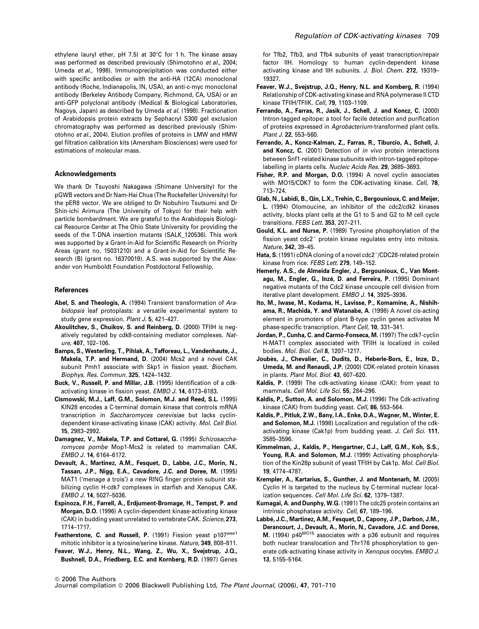ethylene lauryl ether, pH 7.5) at 30°C for 1 h. The kinase assay was performed as described previously (Shimotohno et al., 2004; Umeda et al., 1998). Immunoprecipitation was conducted either with specific antibodies or with the anti-HA (12CA) monoclonal antibody (Roche, Indianapolis, IN, USA), an anti-c-myc monoclonal antibody (Berkeley Antibody Company, Richmond, CA, USA) or an anti-GFP polyclonal antibody (Medical & Biological Laboratories, Nagoya, Japan) as described by Umeda et al. (1998). Fractionation of Arabidopsis protein extracts by Sephacryl S300 gel exclusion chromatography was performed as described previously (Shimotohno et al., 2004). Elution profiles of proteins in LMW and HMW gel filtration calibration kits (Amersham Biosciences) were used for estimations of molecular mass.

#### Acknowledgements

We thank Dr Tsuyoshi Nakagawa (Shimane University) for the pGWB vectors and Dr Nam-Hai Chua (The Rockefeller University) for the pER8 vector. We are obliged to Dr Nobuhiro Tsutsumi and Dr Shin-ichi Arimura (The University of Tokyo) for their help with particle bombardment. We are grateful to the Arabidopsis Biological Resource Center at The Ohio State University for providing the seeds of the T-DNA insertion mutants (SALK\_120536). This work was supported by a Grant-in-Aid for Scientific Research on Priority Areas (grant no. 15031210) and a Grant-in-Aid for Scientific Research (B) (grant no. 16370019). A.S. was supported by the Alexander von Humboldt Foundation Postdoctoral Fellowship.

#### References

- Abel, S. and Theologis, A. (1994) Transient transformation of Arabidopsis leaf protoplasts: a versatile experimental system to study gene expression. Plant J. 5, 421-427.
- Akoulitchev, S., Chuikov, S. and Reinberg, D. (2000) TFIIH is negatively regulated by cdk8-containing mediator complexes. Nature, 407, 102–106.
- Bamps, S., Westerling, T., Pihlak, A., Tafforeau, L., Vandenhaute, J., Makela, T.P. and Hermand, D. (2004) Mcs2 and a novel CAK subunit Pmh1 associate with Skp1 in fission yeast. Biochem. Biophys. Res. Commun. 325, 1424–1432.
- Buck, V., Russell, P. and Millar, J.B. (1995) Identification of a cdkactivating kinase in fission yeast. EMBO J. 14, 6173–6183.
- Cismowski, M.J., Laff, G.M., Solomon, M.J. and Reed, S.L. (1995) KIN28 encodes a C-terminal domain kinase that controls mRNA transcription in Saccharomyces cerevisiae but lacks cyclindependent kinase-activating kinase (CAK) activity. Mol. Cell Biol. 15, 2983–2992.
- Damagnez, V., Makela, T.P. and Cottarel, G. (1995) Schizosaccharomyces pombe Mop1-Mcs2 is related to mammalian CAK. EMBO J. 14, 6164–6172.
- Devault, A., Martinez, A.M., Fesquet, D., Labbe, J.C., Morin, N., Tassan, J.P., Nigg, E.A., Cavadore, J.C. and Doree, M. (1995) MAT1 ('menage a trois') a new RING finger protein subunit stabilizing cyclin H-cdk7 complexes in starfish and Xenopus CAK. EMBO J. 14, 5027–5036.
- Espinoza, F.H., Farrell, A., Erdjument-Bromage, H., Tempst, P. and Morgan, D.O. (1996) A cyclin-dependent kinase-activating kinase (CAK) in budding yeast unrelated to vertebrate CAK. Science, 273, 1714–1717.
- Featherstone, C. and Russell, P. (1991) Fission yeast p107wee1 mitotic inhibitor is a tyrosine/serine kinase. Nature, 349, 808–811.
- Feaver, W.J., Henry, N.L., Wang, Z., Wu, X., Svejstrup, J.Q., Bushnell, D.A., Friedberg, E.C. and Kornberg, R.D. (1997) Genes

for Tfb2, Tfb3, and Tfb4 subunits of yeast transcription/repair factor IIH. Homology to human cyclin-dependent kinase activating kinase and IIH subunits. J. Biol. Chem. 272, 19319– 19327.

- Feaver, W.J., Svejstrup, J.Q., Henry, N.L. and Kornberg, R. (1994) Relationship of CDK-activating kinase and RNA polymerase II CTD kinase TFIIH/TFIIK. Cell, 79, 1103–1109.
- Ferrando, A., Farras, R., Jasik, J., Schell, J. and Koncz, C. (2000) Intron-tagged epitope: a tool for facile detection and purification of proteins expressed in Agrobacterium-transformed plant cells. Plant J. 22, 553–560.
- Ferrando, A., Koncz-Kalman, Z., Farras, R., Tiburcio, A., Schell, J. and Koncz, C. (2001) Detection of *in vivo* protein interactions between Snf1-related kinase subunits with intron-tagged epitopelabelling in plants cells. Nucleic Acids Res. 29, 3685–3693.
- Fisher, R.P. and Morgan, D.O. (1994) A novel cyclin associates with MO15/CDK7 to form the CDK-activating kinase. Cell, 78, 713–724.
- Glab, N., Labidi, B., Qin, L.X., Trehin, C., Bergounioux, C. and Meijer, L. (1994) Olomoucine, an inhibitor of the cdc2/cdk2 kinases activity, blocks plant cells at the G1 to S and G2 to M cell cycle transitions. FEBS Lett. 353, 207-211.
- Gould, K.L. and Nurse, P. (1989) Tyrosine phosphorylation of the fission yeast  $\text{cdc2}^+$  protein kinase regulates entry into mitosis. Nature, 342, 39–45.
- **Hata, S.** (1991) cDNA cloning of a novel  $\frac{c}{c}$  cdc2<sup>+</sup>/CDC28-related protein kinase from rice. FEBS Lett. 279, 149–152.
- Hemerly, A.S., de Almeida Engler, J., Bergounioux, C., Van Montagu, M., Engler, G., Inzé, D. and Ferreira, P. (1995) Dominant negative mutants of the Cdc2 kinase uncouple cell division from iterative plant development. EMBO J. 14, 3925–3936.
- Ito, M., Iwase, M., Kodama, H., Lavisse, P., Komamine, A., Nishihama, R., Machida, Y. and Watanabe, A. (1998) A novel cis-acting element in promoters of plant B-type cyclin genes activates M phase-specific transcription. Plant Cell, 10, 331–341.
- Jordan, P., Cunha, C. and Carmo-Fonseca, M. (1997) The cdk7-cyclin H-MAT1 complex associated with TFIIH is localized in coiled bodies. Mol. Biol. Cell 8, 1207–1217.
- Joubès, J., Chevalier, C., Dudits, D., Heberle-Bors, E., Inze, D., Umeda, M. and Renaudi, J.P. (2000) CDK-related protein kinases in plants. Plant Mol. Biol. 43, 607–620.
- Kaldis, P. (1999) The cdk-activating kinase (CAK): from yeast to mammals. Cell Mol. Life Sci. 55, 284–296.
- Kaldis, P., Sutton, A. and Solomon, M.J. (1996) The Cdk-activating kinase (CAK) from budding yeast. Cell, 86, 553-564.
- Kaldis, P., Pitluk, Z.W., Bany, I.A., Enke, D.A., Wagner, M., Winter, E. and Solomon, M.J. (1998) Localization and regulation of the cdkactivating kinase (Cak1p) from budding yeast. J. Cell Sci. 111, 3585–3596.
- Kimmelman, J., Kaldis, P., Hengartner, C.J., Laff, G.M., Koh, S.S., Young, R.A. and Solomon, M.J. (1999) Activating phosphorylation of the Kin28p subunit of yeast TFIIH by Cak1p. Mol. Cell Biol. 19, 4774–4787.
- Krempler, A., Kartarius, S., Gunther, J. and Montenarh, M. (2005) Cyclin H is targeted to the nucleus by C-terminal nuclear localization sequences. Cell Mol. Life Sci. 62, 1379–1387.
- Kumagai, A. and Dunphy, W.G. (1991) The cdc25 protein contains an intrinsic phosphatase activity. Cell, 67, 189-196.
- Labbé, J.C., Martinez, A.M., Fesquet, D., Capony, J.P., Darbon, J.M., Derancourt, J., Devault, A., Morin, N., Cavadore, J.C. and Doree, M. (1994) p40<sup>MO15</sup> associates with a p36 subunit and requires both nuclear translocation and Thr176 phosphorylation to generate cdk-activating kinase activity in Xenopus oocytes. EMBO J. 13, 5155–5164.

Journal compilation © 2006 Blackwell Publishing Ltd, The Plant Journal, (2006), 47, 701-710

<sup>&</sup>lt;sup>©</sup> 2006 The Authors